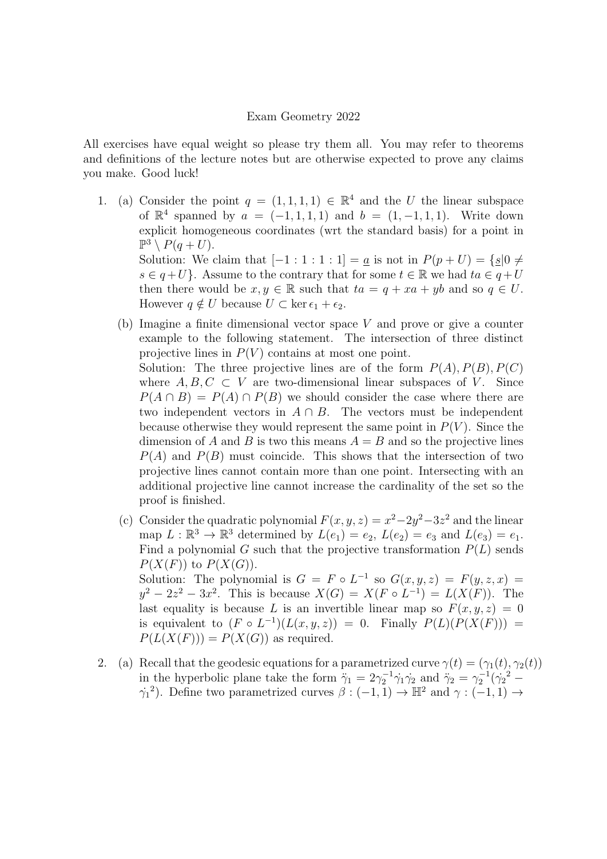## Exam Geometry 2022

All exercises have equal weight so please try them all. You may refer to theorems and definitions of the lecture notes but are otherwise expected to prove any claims you make. Good luck!

- 1. (a) Consider the point  $q = (1, 1, 1, 1) \in \mathbb{R}^4$  and the U the linear subspace of  $\mathbb{R}^4$  spanned by  $a = (-1, 1, 1, 1)$  and  $b = (1, -1, 1, 1)$ . Write down explicit homogeneous coordinates (wrt the standard basis) for a point in  $\mathbb{P}^3 \setminus P(q+U)$ . Solution: We claim that  $[-1:1:1:1] = \underline{a}$  is not in  $P(p+U) = \{ \underline{s} | 0 \neq \underline{s} \}$  $s \in q+U$ . Assume to the contrary that for some  $t \in \mathbb{R}$  we had  $ta \in q+U$ then there would be  $x, y \in \mathbb{R}$  such that  $ta = q + xa + yb$  and so  $q \in U$ . However  $q \notin U$  because  $U \subset \ker \epsilon_1 + \epsilon_2$ .
	- (b) Imagine a finite dimensional vector space V and prove or give a counter example to the following statement. The intersection of three distinct projective lines in  $P(V)$  contains at most one point. Solution: The three projective lines are of the form  $P(A), P(B), P(C)$

where  $A, B, C \subset V$  are two-dimensional linear subspaces of V. Since  $P(A \cap B) = P(A) \cap P(B)$  we should consider the case where there are two independent vectors in  $A \cap B$ . The vectors must be independent because otherwise they would represent the same point in  $P(V)$ . Since the dimension of A and B is two this means  $A = B$  and so the projective lines  $P(A)$  and  $P(B)$  must coincide. This shows that the intersection of two projective lines cannot contain more than one point. Intersecting with an additional projective line cannot increase the cardinality of the set so the proof is finished.

- (c) Consider the quadratic polynomial  $F(x, y, z) = x^2 2y^2 3z^2$  and the linear map  $L : \mathbb{R}^3 \to \mathbb{R}^3$  determined by  $L(e_1) = e_2$ ,  $L(e_2) = e_3$  and  $L(e_3) = e_1$ . Find a polynomial G such that the projective transformation  $P(L)$  sends  $P(X(F))$  to  $P(X(G))$ . Solution: The polynomial is  $G = F \circ L^{-1}$  so  $G(x, y, z) = F(y, z, x) =$  $y^2 - 2z^2 - 3x^2$ . This is because  $X(G) = X(F \circ L^{-1}) = L(X(F))$ . The last equality is because L is an invertible linear map so  $F(x, y, z) = 0$ is equivalent to  $(F \circ L^{-1})(L(x, y, z)) = 0$ . Finally  $P(L)(P(X(F))) =$  $P(L(X(F))) = P(X(G))$  as required.
- 2. (a) Recall that the geodesic equations for a parametrized curve  $\gamma(t) = (\gamma_1(t), \gamma_2(t))$ in the hyperbolic plane take the form  $\ddot{\gamma}_1 = 2\gamma_2^{-1}\dot{\gamma}_1\dot{\gamma}_2$  and  $\ddot{\gamma}_2 = \gamma_2^{-1}(\dot{\gamma}_2)^2 \gamma_1^2$ ). Define two parametrized curves  $\beta: (-1,1) \to \mathbb{H}^2$  and  $\gamma: (-1,1) \to$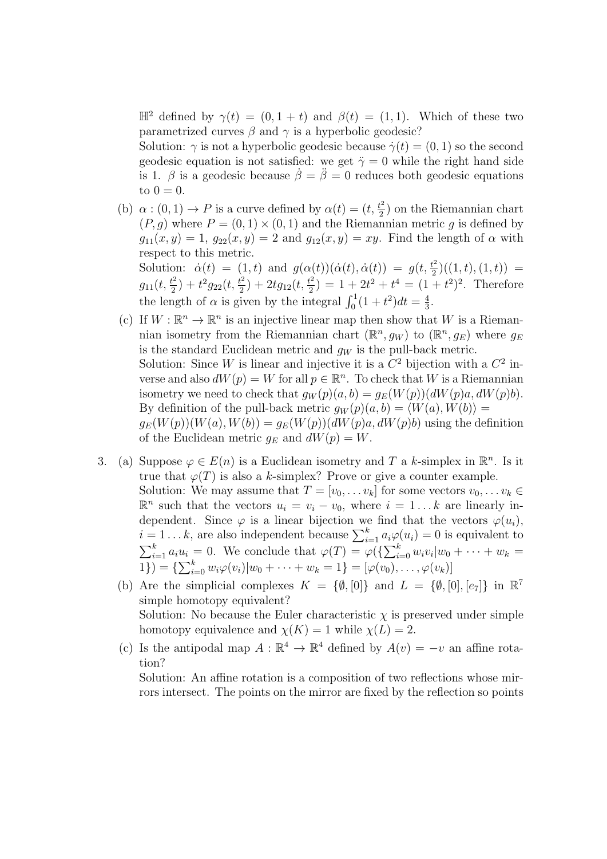$\mathbb{H}^2$  defined by  $\gamma(t) = (0, 1 + t)$  and  $\beta(t) = (1, 1)$ . Which of these two parametrized curves  $\beta$  and  $\gamma$  is a hyperbolic geodesic?

Solution:  $\gamma$  is not a hyperbolic geodesic because  $\dot{\gamma}(t) = (0, 1)$  so the second geodesic equation is not satisfied: we get  $\ddot{\gamma} = 0$  while the right hand side is 1.  $\beta$  is a geodesic because  $\dot{\beta} = \ddot{\beta} = 0$  reduces both geodesic equations to  $0 = 0$ .

(b)  $\alpha$  :  $(0, 1) \rightarrow P$  is a curve defined by  $\alpha(t) = (t, \frac{t^2}{2})$  $\frac{t^2}{2}$  on the Riemannian chart  $(P, g)$  where  $P = (0, 1) \times (0, 1)$  and the Riemannian metric g is defined by  $g_{11}(x, y) = 1, g_{22}(x, y) = 2$  and  $g_{12}(x, y) = xy$ . Find the length of  $\alpha$  with respect to this metric. Solution:  $\dot{\alpha}(t) = (1,t)$  and  $g(\alpha(t))(\dot{\alpha}(t), \dot{\alpha}(t)) = g(t, \frac{t^2}{2})$  $\frac{t^2}{2}$ )((1, t), (1, t)) =

 $g_{11}(t, \frac{t^2}{2})$  $(t^2/2) + t^2 g_{22}(t, \frac{t^2}{2})$  $\frac{t^2}{2}$ ) + 2tg<sub>12</sub>(t,  $\frac{t^2}{2}$  $\left(\frac{t^2}{2}\right) = 1 + 2t^2 + t^4 = (1 + t^2)^2$ . Therefore the length of  $\alpha$  is given by the integral  $\int_0^1 (1 + t^2) dt = \frac{4}{3}$  $\frac{4}{3}$ .

- (c) If  $W : \mathbb{R}^n \to \mathbb{R}^n$  is an injective linear map then show that W is a Riemannian isometry from the Riemannian chart  $(\mathbb{R}^n, g_W)$  to  $(\mathbb{R}^n, g_E)$  where  $g_E$ is the standard Euclidean metric and  $g_W$  is the pull-back metric. Solution: Since W is linear and injective it is a  $C^2$  bijection with a  $C^2$  inverse and also  $dW(p) = W$  for all  $p \in \mathbb{R}^n$ . To check that W is a Riemannian isometry we need to check that  $g_W(p)(a, b) = g_E(W(p))(dW(p)a, dW(p)b)$ . By definition of the pull-back metric  $q_W(p)(a, b) = \langle W(a), W(b) \rangle =$  $g_E(W(p))(W(a), W(b)) = g_E(W(p))(dW(p)a, dW(p)b)$  using the definition of the Euclidean metric  $g_E$  and  $dW(p) = W$ .
- 3. (a) Suppose  $\varphi \in E(n)$  is a Euclidean isometry and T a k-simplex in  $\mathbb{R}^n$ . Is it true that  $\varphi(T)$  is also a k-simplex? Prove or give a counter example. Solution: We may assume that  $T = [v_0, \dots v_k]$  for some vectors  $v_0, \dots v_k \in$  $\mathbb{R}^n$  such that the vectors  $u_i = v_i - v_0$ , where  $i = 1...k$  are linearly independent. Since  $\varphi$  is a linear bijection we find that the vectors  $\varphi(u_i)$ ,  $i = 1...k$ , are also independent because  $\sum_{i=1}^{k} a_i \varphi(u_i) = 0$  is equivalent to  $\sum_{i=1}^k a_i u_i = 0$ . We conclude that  $\varphi(T) = \varphi(\{\sum_{i=0}^k w_i v_i | w_0 + \cdots + w_k = 0\})$ 1}) = { $\sum_{i=0}^{k} w_i \varphi(v_i) | w_0 + \cdots + w_k = 1$ } = [ $\varphi(v_0), \ldots, \varphi(v_k)$ ]
	- (b) Are the simplicial complexes  $K = \{\emptyset, [0]\}\$ and  $L = \{\emptyset, [0], [e_7]\}\$ in  $\mathbb{R}^7$ simple homotopy equivalent? Solution: No because the Euler characteristic  $\chi$  is preserved under simple homotopy equivalence and  $\chi(K) = 1$  while  $\chi(L) = 2$ .
	- (c) Is the antipodal map  $A : \mathbb{R}^4 \to \mathbb{R}^4$  defined by  $A(v) = -v$  an affine rotation?

Solution: An affine rotation is a composition of two reflections whose mirrors intersect. The points on the mirror are fixed by the reflection so points